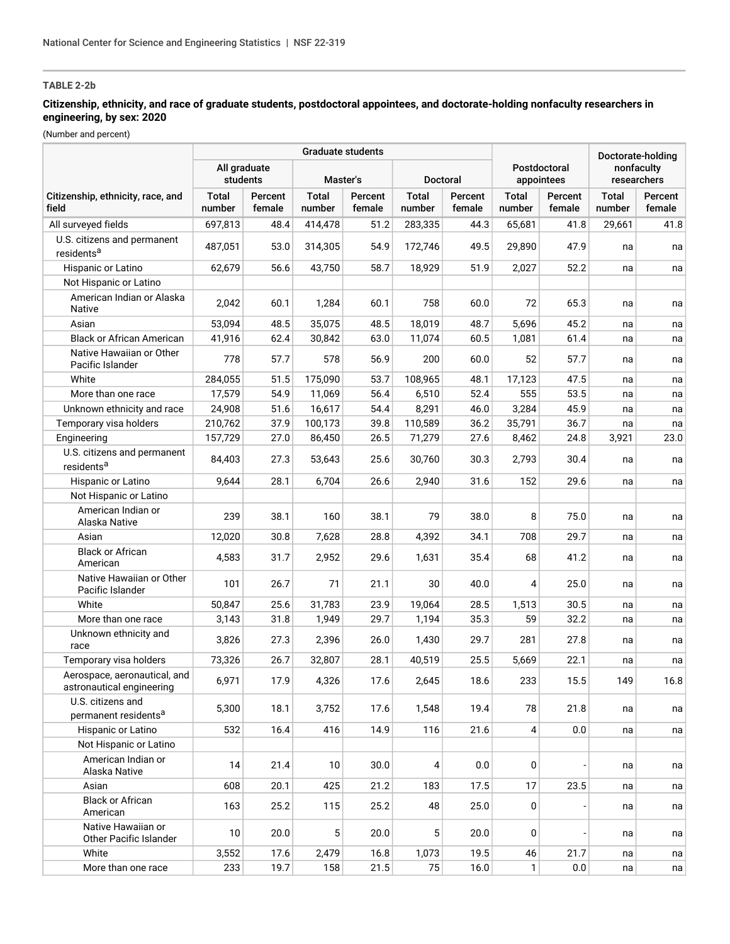## **Citizenship, ethnicity, and race of graduate students, postdoctoral appointees, and doctorate-holding nonfaculty researchers in engineering, by sex: 2020**

|                                                           |                          |                   | <b>Graduate students</b> |                   |                        | Doctorate-holding |                        |                            |                           |                   |
|-----------------------------------------------------------|--------------------------|-------------------|--------------------------|-------------------|------------------------|-------------------|------------------------|----------------------------|---------------------------|-------------------|
|                                                           | All graduate<br>students |                   | Master's                 |                   | <b>Doctoral</b>        |                   |                        | Postdoctoral<br>appointees | nonfaculty<br>researchers |                   |
| Citizenship, ethnicity, race, and<br>field                | <b>Total</b><br>number   | Percent<br>female | <b>Total</b><br>number   | Percent<br>female | <b>Total</b><br>number | Percent<br>female | <b>Total</b><br>number | Percent<br>female          | <b>Total</b><br>number    | Percent<br>female |
| All surveyed fields                                       | 697,813                  | 48.4              | 414,478                  | 51.2              | 283,335                | 44.3              | 65,681                 | 41.8                       | 29,661                    | 41.8              |
| U.S. citizens and permanent                               | 487,051                  | 53.0              | 314,305                  | 54.9              | 172,746                | 49.5              | 29,890                 | 47.9                       | na                        | na                |
| residents <sup>a</sup>                                    |                          |                   |                          |                   |                        |                   |                        |                            |                           |                   |
| Hispanic or Latino                                        | 62.679                   | 56.6              | 43,750                   | 58.7              | 18,929                 | 51.9              | 2,027                  | 52.2                       | na                        | na                |
| Not Hispanic or Latino                                    |                          |                   |                          |                   |                        |                   |                        |                            |                           |                   |
| American Indian or Alaska<br>Native                       | 2,042                    | 60.1              | 1,284                    | 60.1              | 758                    | 60.0              | 72                     | 65.3                       | na                        | na                |
| Asian                                                     | 53,094                   | 48.5              | 35,075                   | 48.5              | 18,019                 | 48.7              | 5,696                  | 45.2                       | na                        | na                |
| <b>Black or African American</b>                          | 41,916                   | 62.4              | 30,842                   | 63.0              | 11,074                 | 60.5              | 1,081                  | 61.4                       | na                        | na                |
| Native Hawaiian or Other<br>Pacific Islander              | 778                      | 57.7              | 578                      | 56.9              | 200                    | 60.0              | 52                     | 57.7                       | na                        | na                |
| White                                                     | 284,055                  | 51.5              | 175,090                  | 53.7              | 108,965                | 48.1              | 17,123                 | 47.5                       | na                        | na                |
| More than one race                                        | 17,579                   | 54.9              | 11,069                   | 56.4              | 6,510                  | 52.4              | 555                    | 53.5                       | na                        | na                |
| Unknown ethnicity and race                                | 24,908                   | 51.6              | 16,617                   | 54.4              | 8,291                  | 46.0              | 3,284                  | 45.9                       | na                        | na                |
| Temporary visa holders                                    | 210,762                  | 37.9              | 100,173                  | 39.8              | 110,589                | 36.2              | 35,791                 | 36.7                       | na                        | na                |
| Engineering                                               | 157,729                  | 27.0              | 86,450                   | 26.5              | 71,279                 | 27.6              | 8,462                  | 24.8                       | 3,921                     | 23.0              |
| U.S. citizens and permanent<br>residents <sup>a</sup>     | 84,403                   | 27.3              | 53,643                   | 25.6              | 30,760                 | 30.3              | 2,793                  | 30.4                       | na                        | na                |
| Hispanic or Latino                                        | 9,644                    | 28.1              | 6,704                    | 26.6              | 2,940                  | 31.6              | 152                    | 29.6                       | na                        | na                |
| Not Hispanic or Latino                                    |                          |                   |                          |                   |                        |                   |                        |                            |                           |                   |
| American Indian or<br>Alaska Native                       | 239                      | 38.1              | 160                      | 38.1              | 79                     | 38.0              | 8                      | 75.0                       | na                        | na                |
| Asian                                                     | 12,020                   | 30.8              | 7,628                    | 28.8              | 4,392                  | 34.1              | 708                    | 29.7                       | na                        | na                |
| <b>Black or African</b><br>American                       | 4,583                    | 31.7              | 2,952                    | 29.6              | 1,631                  | 35.4              | 68                     | 41.2                       | na                        | na                |
| Native Hawaiian or Other<br>Pacific Islander              | 101                      | 26.7              | 71                       | 21.1              | 30                     | 40.0              | 4                      | 25.0                       | na                        | na                |
| White                                                     | 50,847                   | 25.6              | 31,783                   | 23.9              | 19,064                 | 28.5              | 1,513                  | 30.5                       | na                        | na                |
| More than one race                                        | 3,143                    | 31.8              | 1,949                    | 29.7              | 1,194                  | 35.3              | 59                     | 32.2                       | na                        | na                |
| Unknown ethnicity and<br>race                             | 3,826                    | 27.3              | 2,396                    | 26.0              | 1,430                  | 29.7              | 281                    | 27.8                       | na                        | na                |
| Temporary visa holders                                    | 73,326                   | 26.7              | 32,807                   | 28.1              | 40,519                 | 25.5              | 5,669                  | 22.1                       | na                        | na                |
| Aerospace, aeronautical, and<br>astronautical engineering | 6,971                    | 17.9              | 4,326                    | 17.6              | 2,645                  | 18.6              | 233                    | 15.5                       | 149                       | 16.8              |
| U.S. citizens and<br>permanent residents <sup>a</sup>     | 5,300                    | 18.1              | 3,752                    | 17.6              | 1,548                  | 19.4              | 78                     | 21.8                       | na                        | na                |
| Hispanic or Latino                                        | 532                      | 16.4              | 416                      | 14.9              | 116                    | 21.6              | 4                      | 0.0                        | na                        | na                |
| Not Hispanic or Latino                                    |                          |                   |                          |                   |                        |                   |                        |                            |                           |                   |
| American Indian or<br>Alaska Native                       | 14                       | 21.4              | 10                       | 30.0              | 4                      | 0.0               | 0                      |                            | na                        | na                |
| Asian                                                     | 608                      | 20.1              | 425                      | 21.2              | 183                    | 17.5              | 17                     | 23.5                       | na                        | na                |
| <b>Black or African</b><br>American                       | 163                      | 25.2              | 115                      | 25.2              | 48                     | 25.0              | 0                      |                            | na                        | na                |
| Native Hawaiian or<br>Other Pacific Islander              | 10                       | 20.0              | 5                        | 20.0              | 5                      | 20.0              | 0                      |                            | na                        | na                |
| White                                                     | 3,552                    | 17.6              | 2,479                    | 16.8              | 1,073                  | 19.5              | 46                     | 21.7                       | na                        | na                |
| More than one race                                        | 233                      | 19.7              | 158                      | 21.5              | 75                     | 16.0              | 1                      | 0.0                        | na                        | na                |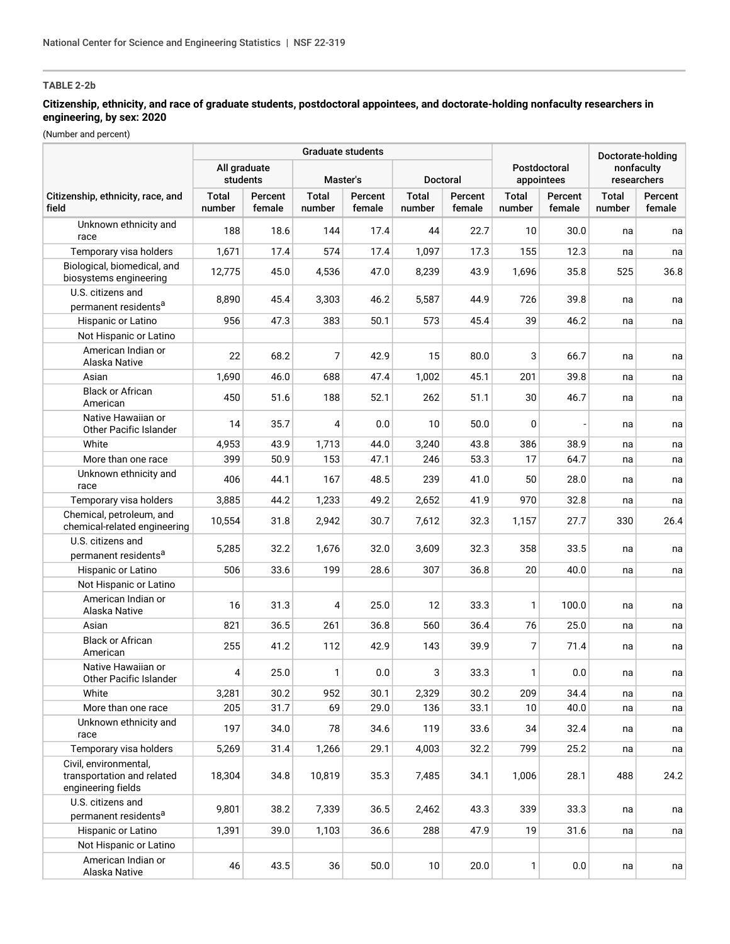## **Citizenship, ethnicity, and race of graduate students, postdoctoral appointees, and doctorate-holding nonfaculty researchers in engineering, by sex: 2020**

|                                                                           |                          |                   | <b>Graduate students</b> | Postdoctoral<br>appointees |                        | Doctorate-holding<br>nonfaculty<br>researchers |                 |                   |                        |                   |
|---------------------------------------------------------------------------|--------------------------|-------------------|--------------------------|----------------------------|------------------------|------------------------------------------------|-----------------|-------------------|------------------------|-------------------|
|                                                                           | All graduate<br>students |                   | Master's                 |                            |                        |                                                |                 | <b>Doctoral</b>   |                        |                   |
| Citizenship, ethnicity, race, and<br>field                                | <b>Total</b><br>number   | Percent<br>female | <b>Total</b><br>number   | Percent<br>female          | <b>Total</b><br>number | Percent<br>female                              | Total<br>number | Percent<br>female | <b>Total</b><br>number | Percent<br>female |
| Unknown ethnicity and<br>race                                             | 188                      | 18.6              | 144                      | 17.4                       | 44                     | 22.7                                           | 10              | 30.0              | na                     | na                |
| Temporary visa holders                                                    | 1,671                    | 17.4              | 574                      | 17.4                       | 1,097                  | 17.3                                           | 155             | 12.3              | na                     | na                |
| Biological, biomedical, and<br>biosystems engineering                     | 12,775                   | 45.0              | 4,536                    | 47.0                       | 8,239                  | 43.9                                           | 1,696           | 35.8              | 525                    | 36.8              |
| U.S. citizens and<br>permanent residents <sup>a</sup>                     | 8,890                    | 45.4              | 3,303                    | 46.2                       | 5,587                  | 44.9                                           | 726             | 39.8              | na                     | na                |
| Hispanic or Latino                                                        | 956                      | 47.3              | 383                      | 50.1                       | 573                    | 45.4                                           | 39              | 46.2              | na                     | na                |
| Not Hispanic or Latino                                                    |                          |                   |                          |                            |                        |                                                |                 |                   |                        |                   |
| American Indian or<br>Alaska Native                                       | 22                       | 68.2              | 7                        | 42.9                       | 15                     | 80.0                                           | 3               | 66.7              | na                     | na                |
| Asian                                                                     | 1,690                    | 46.0              | 688                      | 47.4                       | 1,002                  | 45.1                                           | 201             | 39.8              | na                     | na                |
| <b>Black or African</b><br>American                                       | 450                      | 51.6              | 188                      | 52.1                       | 262                    | 51.1                                           | 30              | 46.7              | na                     | na                |
| Native Hawaiian or<br>Other Pacific Islander                              | 14                       | 35.7              | 4                        | 0.0                        | 10                     | 50.0                                           | 0               |                   | na                     | na                |
| White                                                                     | 4,953                    | 43.9              | 1,713                    | 44.0                       | 3,240                  | 43.8                                           | 386             | 38.9              | na                     | na                |
| More than one race                                                        | 399                      | 50.9              | 153                      | 47.1                       | 246                    | 53.3                                           | 17              | 64.7              | na                     | na                |
| Unknown ethnicity and<br>race                                             | 406                      | 44.1              | 167                      | 48.5                       | 239                    | 41.0                                           | 50              | 28.0              | na                     | na                |
| Temporary visa holders                                                    | 3,885                    | 44.2              | 1,233                    | 49.2                       | 2,652                  | 41.9                                           | 970             | 32.8              | na                     | na                |
| Chemical, petroleum, and<br>chemical-related engineering                  | 10,554                   | 31.8              | 2,942                    | 30.7                       | 7,612                  | 32.3                                           | 1,157           | 27.7              | 330                    | 26.4              |
| U.S. citizens and<br>permanent residents <sup>a</sup>                     | 5,285                    | 32.2              | 1,676                    | 32.0                       | 3,609                  | 32.3                                           | 358             | 33.5              | na                     | na                |
| Hispanic or Latino                                                        | 506                      | 33.6              | 199                      | 28.6                       | 307                    | 36.8                                           | 20              | 40.0              | na                     | na                |
| Not Hispanic or Latino                                                    |                          |                   |                          |                            |                        |                                                |                 |                   |                        |                   |
| American Indian or<br>Alaska Native                                       | 16                       | 31.3              | 4                        | 25.0                       | 12                     | 33.3                                           | 1               | 100.0             | na                     | na                |
| Asian                                                                     | 821                      | 36.5              | 261                      | 36.8                       | 560                    | 36.4                                           | 76              | 25.0              | na                     | na                |
| <b>Black or African</b><br>American                                       | 255                      | 41.2              | 112                      | 42.9                       | 143                    | 39.9                                           | $\overline{7}$  | 71.4              | na                     | na                |
| Native Hawaiian or<br>Other Pacific Islander                              | 4                        | 25.0              | 1                        | 0.0                        | 3                      | 33.3                                           | 1               | 0.0               | na                     | na                |
| White                                                                     | 3,281                    | 30.2              | 952                      | 30.1                       | 2,329                  | 30.2                                           | 209             | 34.4              | na                     | na                |
| More than one race                                                        | 205                      | 31.7              | 69                       | 29.0                       | 136                    | 33.1                                           | 10              | 40.0              | na                     | na                |
| Unknown ethnicity and<br>race                                             | 197                      | 34.0              | 78                       | 34.6                       | 119                    | 33.6                                           | 34              | 32.4              | na                     | na                |
| Temporary visa holders                                                    | 5,269                    | 31.4              | 1,266                    | 29.1                       | 4,003                  | 32.2                                           | 799             | 25.2              | na                     | na                |
| Civil, environmental,<br>transportation and related<br>engineering fields | 18,304                   | 34.8              | 10,819                   | 35.3                       | 7,485                  | 34.1                                           | 1,006           | 28.1              | 488                    | 24.2              |
| U.S. citizens and<br>permanent residents <sup>a</sup>                     | 9,801                    | 38.2              | 7,339                    | 36.5                       | 2,462                  | 43.3                                           | 339             | 33.3              | na                     | na                |
| Hispanic or Latino                                                        | 1,391                    | 39.0              | 1,103                    | 36.6                       | 288                    | 47.9                                           | 19              | 31.6              | na                     | na                |
| Not Hispanic or Latino                                                    |                          |                   |                          |                            |                        |                                                |                 |                   |                        |                   |
| American Indian or<br>Alaska Native                                       | 46                       | 43.5              | 36                       | 50.0                       | 10                     | 20.0                                           | $\mathbf{1}$    | 0.0               | na                     | na                |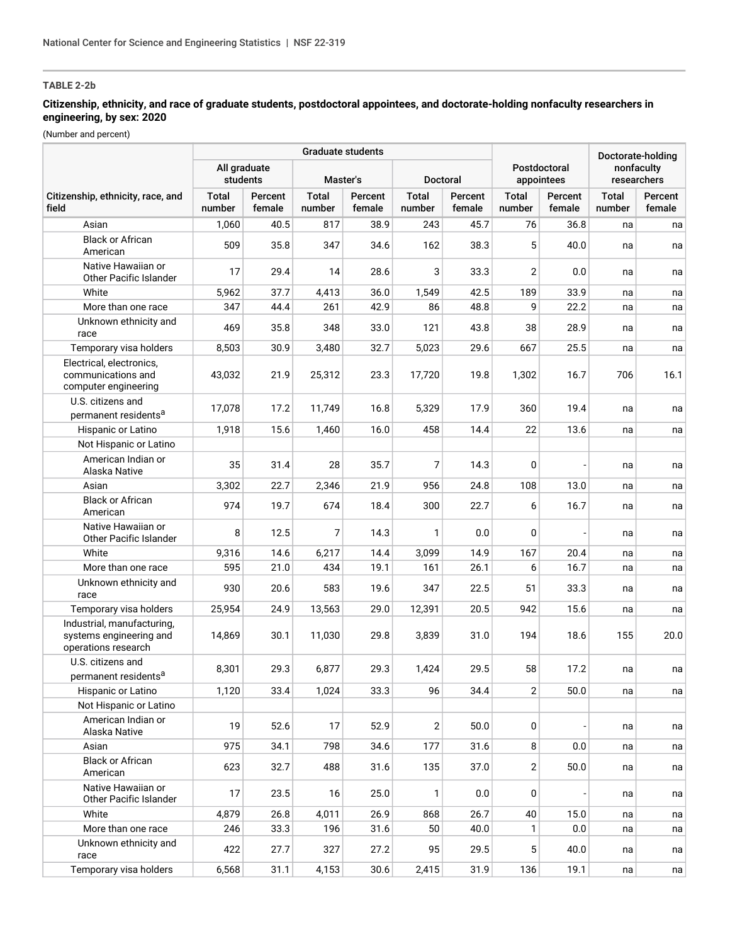## **Citizenship, ethnicity, and race of graduate students, postdoctoral appointees, and doctorate-holding nonfaculty researchers in engineering, by sex: 2020**

|                                                                              |                          |                   | Graduate students      |                   |                        | Doctorate-holding |                            |                   |                           |                   |
|------------------------------------------------------------------------------|--------------------------|-------------------|------------------------|-------------------|------------------------|-------------------|----------------------------|-------------------|---------------------------|-------------------|
|                                                                              | All graduate<br>students |                   | Master's               |                   | Doctoral               |                   | Postdoctoral<br>appointees |                   | nonfaculty<br>researchers |                   |
| Citizenship, ethnicity, race, and<br>field                                   | <b>Total</b><br>number   | Percent<br>female | <b>Total</b><br>number | Percent<br>female | <b>Total</b><br>number | Percent<br>female | <b>Total</b><br>number     | Percent<br>female | Total<br>number           | Percent<br>female |
| Asian                                                                        | 1,060                    | 40.5              | 817                    | 38.9              | 243                    | 45.7              | 76                         | 36.8              | na                        | na                |
| <b>Black or African</b><br>American                                          | 509                      | 35.8              | 347                    | 34.6              | 162                    | 38.3              | 5                          | 40.0              | na                        | na                |
| Native Hawaiian or<br><b>Other Pacific Islander</b>                          | 17                       | 29.4              | 14                     | 28.6              | 3                      | 33.3              | 2                          | 0.0               | na                        | na                |
| White                                                                        | 5,962                    | 37.7              | 4,413                  | 36.0              | 1,549                  | 42.5              | 189                        | 33.9              | na                        | na                |
| More than one race                                                           | 347                      | 44.4              | 261                    | 42.9              | 86                     | 48.8              | 9                          | 22.2              | na                        | na                |
| Unknown ethnicity and<br>race                                                | 469                      | 35.8              | 348                    | 33.0              | 121                    | 43.8              | 38                         | 28.9              | na                        | na                |
| Temporary visa holders                                                       | 8,503                    | 30.9              | 3,480                  | 32.7              | 5,023                  | 29.6              | 667                        | 25.5              | na                        | na                |
| Electrical, electronics,<br>communications and<br>computer engineering       | 43,032                   | 21.9              | 25,312                 | 23.3              | 17,720                 | 19.8              | 1,302                      | 16.7              | 706                       | 16.1              |
| U.S. citizens and<br>permanent residents <sup>a</sup>                        | 17,078                   | 17.2              | 11,749                 | 16.8              | 5,329                  | 17.9              | 360                        | 19.4              | na                        | na                |
| Hispanic or Latino                                                           | 1,918                    | 15.6              | 1,460                  | 16.0              | 458                    | 14.4              | 22                         | 13.6              | na                        | na                |
| Not Hispanic or Latino                                                       |                          |                   |                        |                   |                        |                   |                            |                   |                           |                   |
| American Indian or<br>Alaska Native                                          | 35                       | 31.4              | 28                     | 35.7              | 7                      | 14.3              | 0                          |                   | na                        | na                |
| Asian                                                                        | 3,302                    | 22.7              | 2,346                  | 21.9              | 956                    | 24.8              | 108                        | 13.0              | na                        | na                |
| <b>Black or African</b><br>American                                          | 974                      | 19.7              | 674                    | 18.4              | 300                    | 22.7              | 6                          | 16.7              | na                        | na                |
| Native Hawaiian or<br>Other Pacific Islander                                 | 8                        | 12.5              | 7                      | 14.3              | 1                      | 0.0               | 0                          |                   | na                        | na                |
| White                                                                        | 9,316                    | 14.6              | 6,217                  | 14.4              | 3,099                  | 14.9              | 167                        | 20.4              | na                        | na                |
| More than one race                                                           | 595                      | 21.0              | 434                    | 19.1              | 161                    | 26.1              | 6                          | 16.7              | na                        | na                |
| Unknown ethnicity and<br>race                                                | 930                      | 20.6              | 583                    | 19.6              | 347                    | 22.5              | 51                         | 33.3              | na                        | na                |
| Temporary visa holders                                                       | 25,954                   | 24.9              | 13,563                 | 29.0              | 12,391                 | 20.5              | 942                        | 15.6              | na                        | na                |
| Industrial, manufacturing,<br>systems engineering and<br>operations research | 14,869                   | 30.1              | 11,030                 | 29.8              | 3,839                  | 31.0              | 194                        | 18.6              | 155                       | 20.0              |
| U.S. citizens and<br>permanent residents <sup>a</sup>                        | 8,301                    | 29.3              | 6,877                  | 29.3              | 1,424                  | 29.5              | 58                         | 17.2              | na                        | na                |
| Hispanic or Latino                                                           | 1,120                    | 33.4              | 1,024                  | 33.3              | 96                     | 34.4              | 2                          | 50.0              | na                        | na                |
| Not Hispanic or Latino                                                       |                          |                   |                        |                   |                        |                   |                            |                   |                           |                   |
| American Indian or<br>Alaska Native                                          | 19                       | 52.6              | 17                     | 52.9              | $\overline{2}$         | 50.0              | $\mathbf{0}$               |                   | na                        | na                |
| Asian                                                                        | 975                      | 34.1              | 798                    | 34.6              | 177                    | 31.6              | 8                          | 0.0               | na                        | na                |
| <b>Black or African</b><br>American                                          | 623                      | 32.7              | 488                    | 31.6              | 135                    | 37.0              | $\overline{2}$             | 50.0              | na                        | na                |
| Native Hawaiian or<br>Other Pacific Islander                                 | 17                       | 23.5              | 16                     | 25.0              | 1                      | 0.0               | 0                          |                   | na                        | na                |
| White                                                                        | 4,879                    | 26.8              | 4,011                  | 26.9              | 868                    | 26.7              | 40                         | 15.0              | na                        | na                |
| More than one race                                                           | 246                      | 33.3              | 196                    | 31.6              | 50                     | 40.0              | 1                          | 0.0               | na                        | na                |
| Unknown ethnicity and<br>race                                                | 422                      | 27.7              | 327                    | 27.2              | 95                     | 29.5              | 5                          | 40.0              | na                        | na                |
| Temporary visa holders                                                       | 6,568                    | 31.1              | 4,153                  | 30.6              | 2,415                  | 31.9              | 136                        | 19.1              | na                        | na                |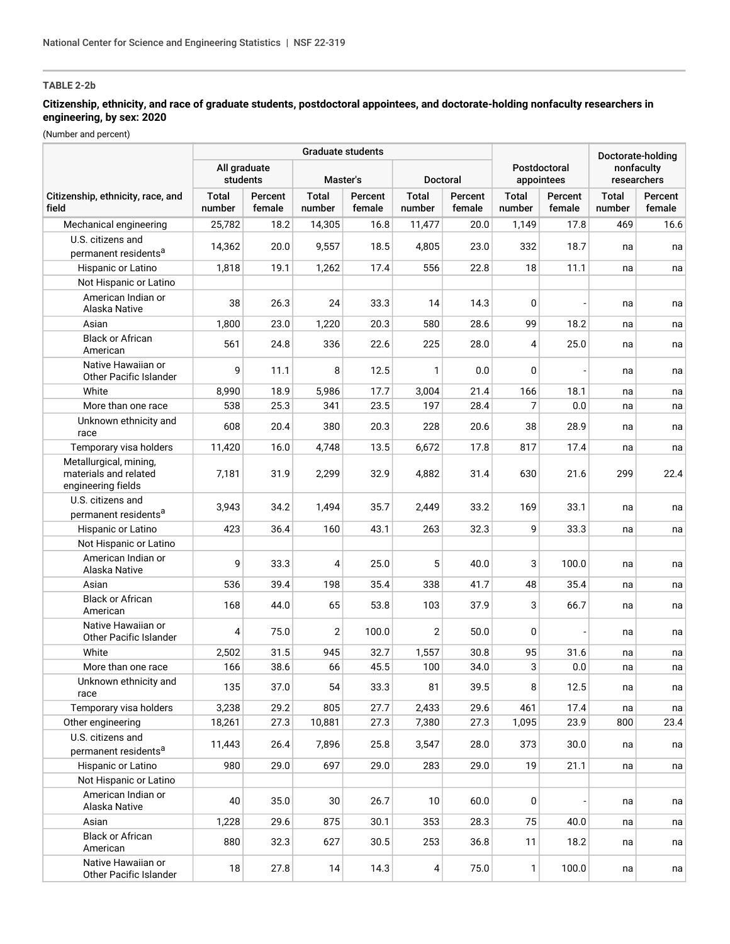## **Citizenship, ethnicity, and race of graduate students, postdoctoral appointees, and doctorate-holding nonfaculty researchers in engineering, by sex: 2020**

|                                                                       |                          |                   | <b>Graduate students</b> |                   |                 | Doctorate-holding |                            |                   |                           |                   |
|-----------------------------------------------------------------------|--------------------------|-------------------|--------------------------|-------------------|-----------------|-------------------|----------------------------|-------------------|---------------------------|-------------------|
|                                                                       | All graduate<br>students |                   | Master's                 |                   | <b>Doctoral</b> |                   | Postdoctoral<br>appointees |                   | nonfaculty<br>researchers |                   |
| Citizenship, ethnicity, race, and<br>field                            | <b>Total</b><br>number   | Percent<br>female | <b>Total</b><br>number   | Percent<br>female | Total<br>number | Percent<br>female | Total<br>number            | Percent<br>female | Total<br>number           | Percent<br>female |
| Mechanical engineering                                                | 25,782                   | 18.2              | 14,305                   | 16.8              | 11,477          | 20.0              | 1,149                      | 17.8              | 469                       | 16.6              |
| U.S. citizens and                                                     |                          | 20.0              |                          |                   |                 | 23.0              | 332                        |                   |                           |                   |
| permanent residents <sup>a</sup>                                      | 14,362                   |                   | 9,557                    | 18.5              | 4,805           |                   |                            | 18.7              | na                        | na                |
| Hispanic or Latino                                                    | 1,818                    | 19.1              | 1,262                    | 17.4              | 556             | 22.8              | 18                         | 11.1              | na                        | na                |
| Not Hispanic or Latino                                                |                          |                   |                          |                   |                 |                   |                            |                   |                           |                   |
| American Indian or<br>Alaska Native                                   | 38                       | 26.3              | 24                       | 33.3              | 14              | 14.3              | 0                          |                   | na                        | na                |
| Asian                                                                 | 1,800                    | 23.0              | 1,220                    | 20.3              | 580             | 28.6              | 99                         | 18.2              | na                        | na                |
| <b>Black or African</b><br>American                                   | 561                      | 24.8              | 336                      | 22.6              | 225             | 28.0              | 4                          | 25.0              | na                        | na                |
| Native Hawaiian or<br>Other Pacific Islander                          | 9                        | 11.1              | 8                        | 12.5              | 1               | 0.0               | 0                          |                   | na                        | na                |
| White                                                                 | 8,990                    | 18.9              | 5,986                    | 17.7              | 3,004           | 21.4              | 166                        | 18.1              | na                        | na                |
| More than one race                                                    | 538                      | 25.3              | 341                      | 23.5              | 197             | 28.4              | 7                          | 0.0               | na                        | na                |
| Unknown ethnicity and<br>race                                         | 608                      | 20.4              | 380                      | 20.3              | 228             | 20.6              | 38                         | 28.9              | na                        | na                |
| Temporary visa holders                                                | 11,420                   | 16.0              | 4,748                    | 13.5              | 6,672           | 17.8              | 817                        | 17.4              | na                        | na                |
| Metallurgical, mining,<br>materials and related<br>engineering fields | 7,181                    | 31.9              | 2,299                    | 32.9              | 4,882           | 31.4              | 630                        | 21.6              | 299                       | 22.4              |
| U.S. citizens and<br>permanent residents <sup>a</sup>                 | 3,943                    | 34.2              | 1,494                    | 35.7              | 2,449           | 33.2              | 169                        | 33.1              | na                        | na                |
| Hispanic or Latino                                                    | 423                      | 36.4              | 160                      | 43.1              | 263             | 32.3              | 9                          | 33.3              | na                        | na                |
| Not Hispanic or Latino                                                |                          |                   |                          |                   |                 |                   |                            |                   |                           |                   |
| American Indian or<br>Alaska Native                                   | 9                        | 33.3              | 4                        | 25.0              | 5               | 40.0              | 3                          | 100.0             | na                        | na                |
| Asian                                                                 | 536                      | 39.4              | 198                      | 35.4              | 338             | 41.7              | 48                         | 35.4              | na                        | na                |
| <b>Black or African</b><br>American                                   | 168                      | 44.0              | 65                       | 53.8              | 103             | 37.9              | 3                          | 66.7              | na                        | na                |
| Native Hawaiian or<br>Other Pacific Islander                          | 4                        | 75.0              | $\mathbf{2}$             | 100.0             | 2               | 50.0              | 0                          |                   | na                        | na                |
| White                                                                 | 2,502                    | 31.5              | 945                      | 32.7              | 1,557           | 30.8              | 95                         | 31.6              | na                        | na                |
| More than one race                                                    | 166                      | 38.6              | 66                       | 45.5              | 100             | 34.0              | 3                          | 0.0               | na                        | na                |
| Unknown ethnicity and<br>race                                         | 135                      | 37.0              | 54                       | 33.3              | 81              | 39.5              | 8                          | 12.5              | na                        | na                |
| Temporary visa holders                                                | 3,238                    | 29.2              | 805                      | 27.7              | 2,433           | 29.6              | 461                        | 17.4              | na                        | na                |
| Other engineering                                                     | 18,261                   | 27.3              | 10,881                   | 27.3              | 7,380           | 27.3              | 1,095                      | 23.9              | 800                       | 23.4              |
| U.S. citizens and<br>permanent residents <sup>a</sup>                 | 11,443                   | 26.4              | 7,896                    | 25.8              | 3,547           | 28.0              | 373                        | 30.0              | na                        | na                |
| Hispanic or Latino                                                    | 980                      | 29.0              | 697                      | 29.0              | 283             | 29.0              | 19                         | 21.1              | na                        | na                |
| Not Hispanic or Latino                                                |                          |                   |                          |                   |                 |                   |                            |                   |                           |                   |
| American Indian or<br>Alaska Native                                   | 40                       | 35.0              | 30                       | 26.7              | 10              | 60.0              | 0                          |                   | na                        | na                |
| Asian                                                                 | 1,228                    | 29.6              | 875                      | 30.1              | 353             | 28.3              | 75                         | 40.0              | na                        | na                |
| <b>Black or African</b><br>American                                   | 880                      | 32.3              | 627                      | 30.5              | 253             | 36.8              | 11                         | 18.2              | na                        | na                |
| Native Hawaiian or<br>Other Pacific Islander                          | 18                       | 27.8              | 14                       | 14.3              | $\vert 4 \vert$ | 75.0              | 1                          | 100.0             | na                        | na                |